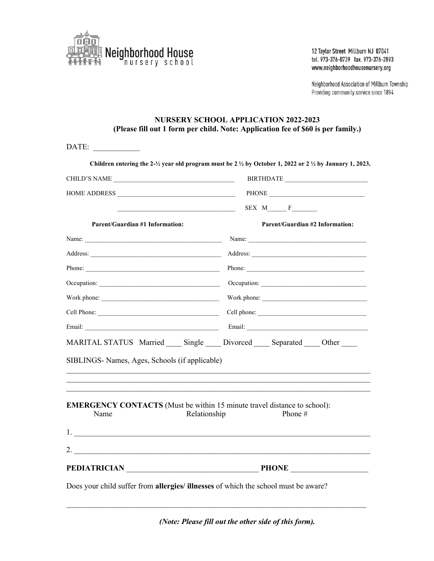

12 Taylor Street Millburn NJ 07041 tel. 973-376-0739 fax. 973-376-2893 www.neighborhoodhousenursery.org

Neighborhood Association of Millburn Township Providing community service since 1894

## **NURSERY SCHOOL APPLICATION 2022-2023 (Please fill out 1 form per child. Note: Application fee of \$60 is per family.)**

| CHILD'S NAME                                   |                                                                                                              |
|------------------------------------------------|--------------------------------------------------------------------------------------------------------------|
|                                                |                                                                                                              |
|                                                |                                                                                                              |
| <b>Parent/Guardian #1 Information:</b>         | <b>Parent/Guardian #2 Information:</b>                                                                       |
|                                                |                                                                                                              |
|                                                |                                                                                                              |
|                                                | Phone:                                                                                                       |
|                                                |                                                                                                              |
|                                                |                                                                                                              |
|                                                |                                                                                                              |
|                                                |                                                                                                              |
| SIBLINGS- Names, Ages, Schools (if applicable) | MARITAL STATUS Married Single Divorced Separated Other                                                       |
| Name                                           | <b>EMERGENCY CONTACTS</b> (Must be within 15 minute travel distance to school):<br>Relationship<br>Phone $#$ |
|                                                |                                                                                                              |
| 2. $\qquad \qquad$                             |                                                                                                              |
|                                                | PEDIATRICIAN PEDIATRICIAN                                                                                    |

*(Note: Please fill out the other side of this form).*